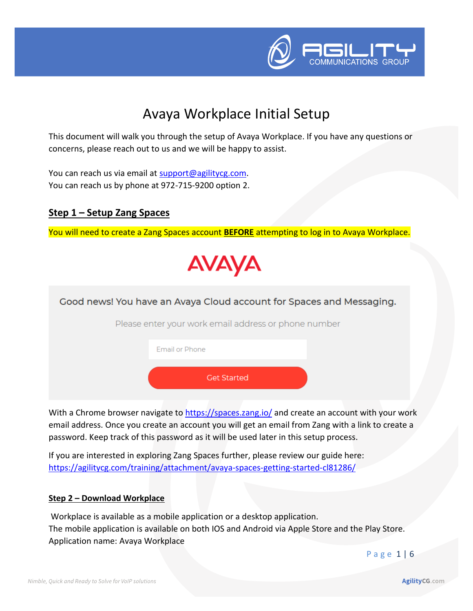

## Avaya Workplace Initial Setup

This document will walk you through the setup of Avaya Workplace. If you have any questions or concerns, please reach out to us and we will be happy to assist.

You can reach us via email at [support@agilitycg.com.](mailto:support@agilitycg.com) You can reach us by phone at 972-715-9200 option 2.

#### **Step 1 – Setup Zang Spaces**

You will need to create a Zang Spaces account **BEFORE** attempting to log in to Avaya Workplace.





email address. Once you create an account you will get an email from Zang with a link to create a password. Keep track of this password as it will be used later in this setup process.

If you are interested in exploring Zang Spaces further, please review our guide here: <https://agilitycg.com/training/attachment/avaya-spaces-getting-started-cl81286/>

#### **Step 2 – Download Workplace**

Workplace is available as a mobile application or a desktop application. The mobile application is available on both IOS and Android via Apple Store and the Play Store. Application name: Avaya Workplace

P a g e 1 | 6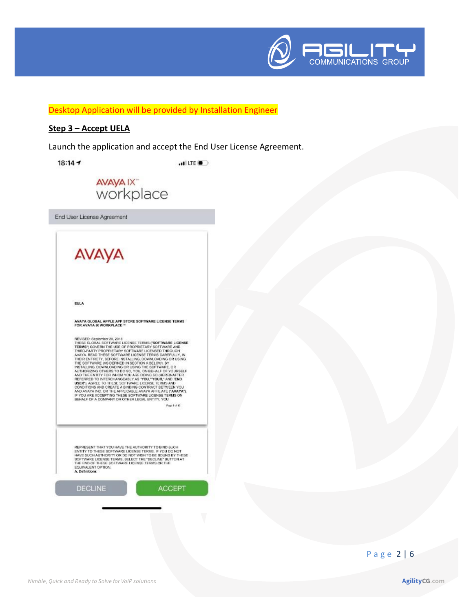

Desktop Application will be provided by Installation Engineer

#### Step 3 - Accept UELA

Launch the application and accept the End User License Agreement.

 $18:147$ 

 $H$  LTE  $\blacksquare$ 



End User License Agreement

AVAYA

EULA

AVAYA GLOBAL APPLE APP STORE SOFTWARE LICENSE TERMS<br>FOR AVAYA IX WORKPLACE "

REWISED. September 20, 2018<br>THESE GLOBAL SOFTWARE LICENSE TERMS ("SOFTWARE LICENSE") COVERN THE USE OF PROPRIETARY SOFTWARE AND THIRD-PARTY PROCPRIETARY SOFTWARE LICENSED THROUGH THROUGH THE SOFTWARE LICENSED THROUGH ON US

Page 1 of 13

REPRESENT THAT YOU HAVE THE AUTHORITY TO BIND SUCH REPRESENT TRATE SOFTWARE LICENSE TERMS. IF YOU DO NOT<br>HAVE SUCH AUTHORITY OR DO NOT WISH TO BE BOUND BY THESE<br>SOFTWARE LICENSE TERMS, SELECT THE "DECLINE" BUTTON AT<br>THE END OF THESE SOFTWARE LICENSE TERMS OR THE EQUIVALENT OPTION.<br>A. Definitions

**DECLINE** 

**ACCEPT** 

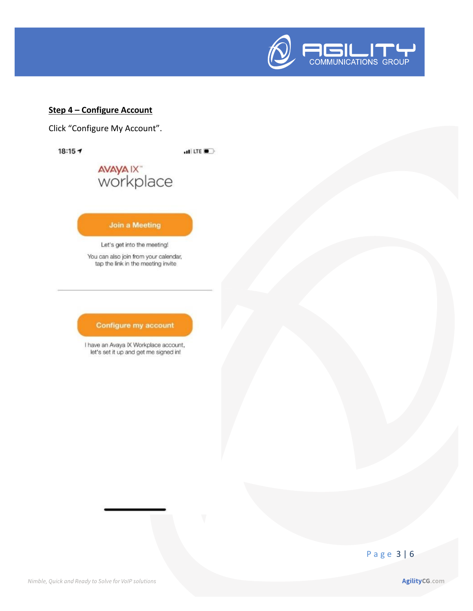

#### **Step 4 - Configure Account**

Click "Configure My Account".

 $18:15 - 7$ 

 $H$  LTE  $\blacksquare$ 

# avaya ix<sup>+</sup><br>workplace

Join a Meeting

Let's get into the meeting!

You can also join from your calendar, tap the link in the meeting invite

#### Configure my account

I have an Avaya IX Workplace account, let's set it up and get me signed in!

### Page 3 | 6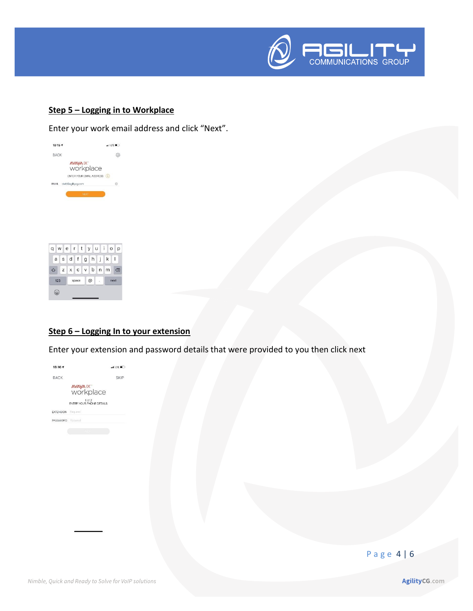

#### **Step 5 – Logging in to Workplace**

Enter your work email address and click "Next".





#### **Step 6 – Logging In to your extension**

Enter your extension and password details that were provided to you then click next



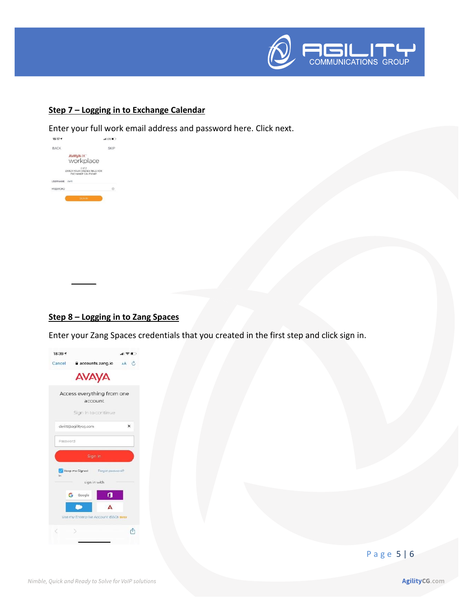

#### **Step 7 – Logging in to Exchange Calendar**

Enter your full work email address and password here. Click next.



#### **Step 8 – Logging in to Zang Spaces**

Enter your Zang Spaces credentials that you created in the first step and click sign in.



P a g e 5 | 6